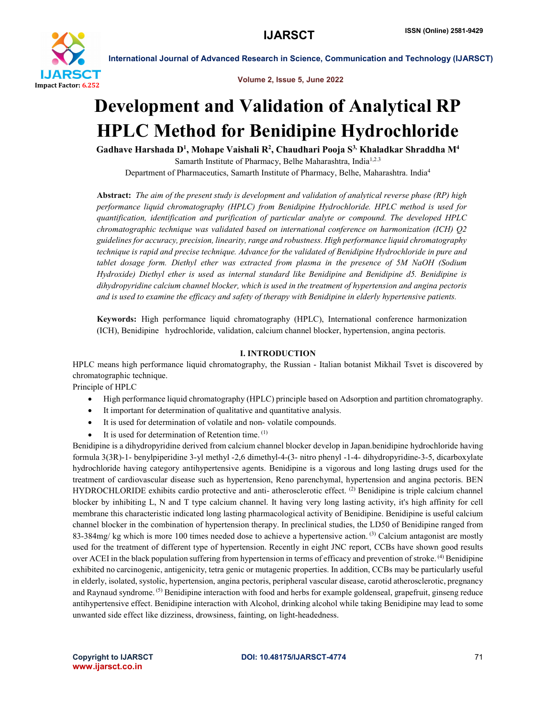

Volume 2, Issue 5, June 2022

International Journal of Advanced Research in Science, Communication and Technology (IJARSCT)

# Development and Validation of Analytical RP HPLC Method for Benidipine Hydrochloride

Gadhave Harshada D<sup>1</sup>, Mohape Vaishali R<sup>2</sup>, Chaudhari Pooja S<sup>3,</sup> Khaladkar Shraddha M<sup>4</sup> Samarth Institute of Pharmacy, Belhe Maharashtra, India<sup>1,2.3</sup>

Department of Pharmaceutics, Samarth Institute of Pharmacy, Belhe, Maharashtra. India4

Abstract: *The aim of the present study is development and validation of analytical reverse phase (RP) high performance liquid chromatography (HPLC) from Benidipine Hydrochloride. HPLC method is used for quantification, identification and purification of particular analyte or compound. The developed HPLC chromatographic technique was validated based on international conference on harmonization (ICH) Q2 guidelines for accuracy, precision, linearity, range and robustness. High performance liquid chromatography technique is rapid and precise technique. Advance for the validated of Benidipine Hydrochloride in pure and tablet dosage form. Diethyl ether was extracted from plasma in the presence of 5M NaOH (Sodium Hydroxide) Diethyl ether is used as internal standard like Benidipine and Benidipine d5. Benidipine is dihydropyridine calcium channel blocker, which is used in the treatment of hypertension and angina pectoris and is used to examine the efficacy and safety of therapy with Benidipine in elderly hypertensive patients.*

Keywords: High performance liquid chromatography (HPLC), International conference harmonization (ICH), Benidipine hydrochloride, validation, calcium channel blocker, hypertension, angina pectoris.

# I. INTRODUCTION

HPLC means high performance liquid chromatography, the Russian - Italian botanist Mikhail Tsvet is discovered by chromatographic technique.

Principle of HPLC

- High performance liquid chromatography (HPLC) principle based on Adsorption and partition chromatography.
- It important for determination of qualitative and quantitative analysis.
- It is used for determination of volatile and non- volatile compounds.
- It is used for determination of Retention time. (1)

Benidipine is a dihydropyridine derived from calcium channel blocker develop in Japan.benidipine hydrochloride having formula 3(3R)-1- benylpiperidine 3-yl methyl -2,6 dimethyl-4-(3- nitro phenyl -1-4- dihydropyridine-3-5, dicarboxylate hydrochloride having category antihypertensive agents. Benidipine is a vigorous and long lasting drugs used for the treatment of cardiovascular disease such as hypertension, Reno parenchymal, hypertension and angina pectoris. BEN HYDROCHLORIDE exhibits cardio protective and anti- atherosclerotic effect. <sup>(2)</sup> Benidipine is triple calcium channel blocker by inhibiting L, N and T type calcium channel. It having very long lasting activity, it's high affinity for cell membrane this characteristic indicated long lasting pharmacological activity of Benidipine. Benidipine is useful calcium channel blocker in the combination of hypertension therapy. In preclinical studies, the LD50 of Benidipine ranged from 83-384mg/ kg which is more 100 times needed dose to achieve a hypertensive action. <sup>(3)</sup> Calcium antagonist are mostly used for the treatment of different type of hypertension. Recently in eight JNC report, CCBs have shown good results over ACEI in the black population suffering from hypertension in terms of efficacy and prevention of stroke. (4) Benidipine exhibited no carcinogenic, antigenicity, tetra genic or mutagenic properties. In addition, CCBs may be particularly useful in elderly, isolated, systolic, hypertension, angina pectoris, peripheral vascular disease, carotid atherosclerotic, pregnancy and Raynaud syndrome. <sup>(5)</sup> Benidipine interaction with food and herbs for example goldenseal, grapefruit, ginseng reduce antihypertensive effect. Benidipine interaction with Alcohol, drinking alcohol while taking Benidipine may lead to some unwanted side effect like dizziness, drowsiness, fainting, on light-headedness.

www.ijarsct.co.in

### Copyright to IJARSCT **DOI: 10.48175/IJARSCT-4774** 71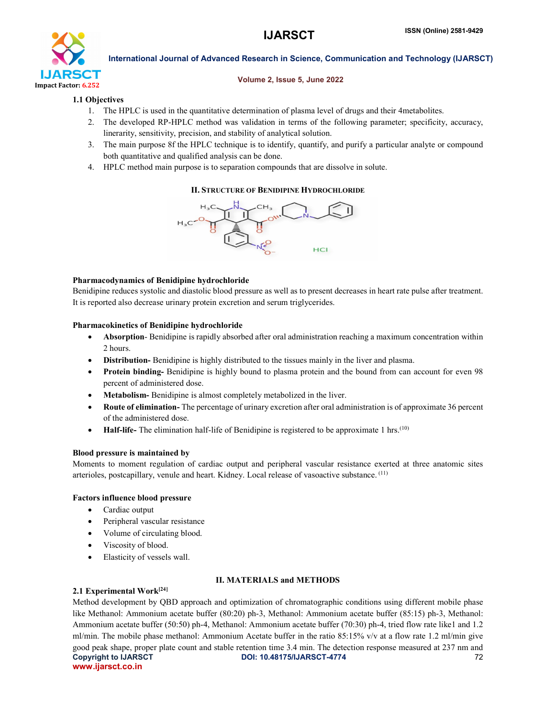

### Volume 2, Issue 5, June 2022

# 1.1 Objectives

- 1. The HPLC is used in the quantitative determination of plasma level of drugs and their 4metabolites.
- 2. The developed RP-HPLC method was validation in terms of the following parameter; specificity, accuracy, linerarity, sensitivity, precision, and stability of analytical solution.
- 3. The main purpose 8f the HPLC technique is to identify, quantify, and purify a particular analyte or compound both quantitative and qualified analysis can be done.
- 4. HPLC method main purpose is to separation compounds that are dissolve in solute.

# II. STRUCTURE OF BENIDIPINE HYDROCHLORIDE



# Pharmacodynamics of Benidipine hydrochloride

Benidipine reduces systolic and diastolic blood pressure as well as to present decreases in heart rate pulse after treatment. It is reported also decrease urinary protein excretion and serum triglycerides.

## Pharmacokinetics of Benidipine hydrochloride

- Absorption- Benidipine is rapidly absorbed after oral administration reaching a maximum concentration within 2 hours.
- Distribution- Benidipine is highly distributed to the tissues mainly in the liver and plasma.
- Protein binding- Benidipine is highly bound to plasma protein and the bound from can account for even 98 percent of administered dose.
- Metabolism- Benidipine is almost completely metabolized in the liver.
- Route of elimination- The percentage of urinary excretion after oral administration is of approximate 36 percent of the administered dose.
- $\bullet$  Half-life- The elimination half-life of Benidipine is registered to be approximate 1 hrs.<sup>(10)</sup>

# Blood pressure is maintained by

Moments to moment regulation of cardiac output and peripheral vascular resistance exerted at three anatomic sites arterioles, postcapillary, venule and heart. Kidney. Local release of vasoactive substance. (11)

# Factors influence blood pressure

- Cardiac output
- Peripheral vascular resistance
- Volume of circulating blood.
- Viscosity of blood.
- Elasticity of vessels wall.

# II. MATERIALS and METHODS

# 2.1 Experimental Work $[24]$

Copyright to IJARSCT **DOI: 10.48175/IJARSCT-4774** 72 www.ijarsct.co.in Method development by QBD approach and optimization of chromatographic conditions using different mobile phase like Methanol: Ammonium acetate buffer (80:20) ph-3, Methanol: Ammonium acetate buffer (85:15) ph-3, Methanol: Ammonium acetate buffer (50:50) ph-4, Methanol: Ammonium acetate buffer (70:30) ph-4, tried flow rate like1 and 1.2 ml/min. The mobile phase methanol: Ammonium Acetate buffer in the ratio 85:15% v/v at a flow rate 1.2 ml/min give good peak shape, proper plate count and stable retention time 3.4 min. The detection response measured at 237 nm and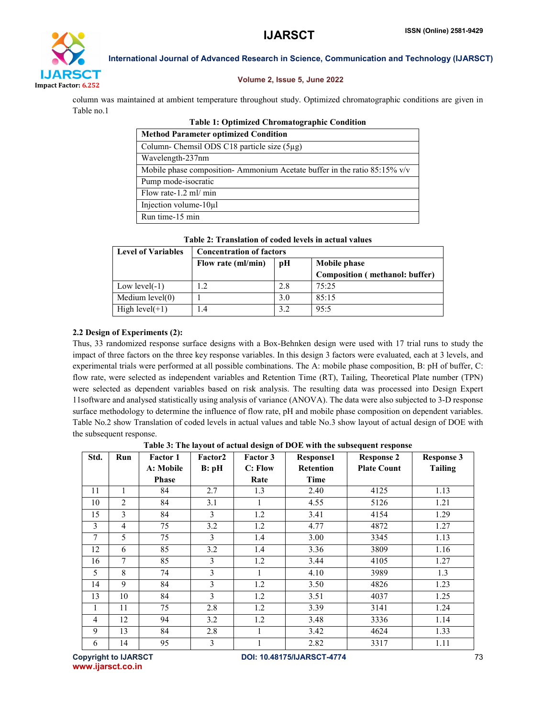

# Volume 2, Issue 5, June 2022

column was maintained at ambient temperature throughout study. Optimized chromatographic conditions are given in Table no.1

| <b>Table 1: Optimized Chromatographic Condition</b>                         |  |  |  |  |  |
|-----------------------------------------------------------------------------|--|--|--|--|--|
| <b>Method Parameter optimized Condition</b>                                 |  |  |  |  |  |
| Column-Chemsil ODS C18 particle size $(5\mu g)$                             |  |  |  |  |  |
| Wavelength-237nm                                                            |  |  |  |  |  |
| Mobile phase composition-Ammonium Acetate buffer in the ratio $85:15\%$ v/v |  |  |  |  |  |
| Pump mode-isocratic                                                         |  |  |  |  |  |
| Flow rate-1.2 ml/ min                                                       |  |  |  |  |  |
| Injection volume- $10\mu$ l                                                 |  |  |  |  |  |
| Run time-15 min                                                             |  |  |  |  |  |

| <b>Level of Variables</b> | <b>Concentration of factors</b> |     |                                |  |  |  |
|---------------------------|---------------------------------|-----|--------------------------------|--|--|--|
|                           | Flow rate (ml/min)              | pН  | Mobile phase                   |  |  |  |
|                           |                                 |     | Composition (methanol: buffer) |  |  |  |
| Low $level(-1)$           | 1.2                             | 2.8 | 75.25                          |  |  |  |
| Medium $level(0)$         |                                 | 3.0 | 85:15                          |  |  |  |
| High $level(+1)$          | 1.4                             | 3.2 | 95:5                           |  |  |  |

# 2.2 Design of Experiments (2):

Thus, 33 randomized response surface designs with a Box-Behnken design were used with 17 trial runs to study the impact of three factors on the three key response variables. In this design 3 factors were evaluated, each at 3 levels, and experimental trials were performed at all possible combinations. The A: mobile phase composition, B: pH of buffer, C: flow rate, were selected as independent variables and Retention Time (RT), Tailing, Theoretical Plate number (TPN) were selected as dependent variables based on risk analysis. The resulting data was processed into Design Expert 11software and analysed statistically using analysis of variance (ANOVA). The data were also subjected to 3-D response surface methodology to determine the influence of flow rate, pH and mobile phase composition on dependent variables. Table No.2 show Translation of coded levels in actual values and table No.3 show layout of actual design of DOE with the subsequent response.

Table 3: The layout of actual design of DOE with the subsequent response

| Std. | Run            | <b>Factor 1</b> | Factor2       | Factor 3 | Response1        | <b>Response 2</b>  | <b>Response 3</b> |  |  |
|------|----------------|-----------------|---------------|----------|------------------|--------------------|-------------------|--|--|
|      |                | A: Mobile       | B: pH         | C: Flow  | <b>Retention</b> | <b>Plate Count</b> | <b>Tailing</b>    |  |  |
|      |                | <b>Phase</b>    |               | Rate     | Time             |                    |                   |  |  |
| 11   |                | 84              | 2.7           | 1.3      | 2.40             | 4125               | 1.13              |  |  |
| 10   | $\overline{2}$ | 84              | 3.1           | 1        | 4.55             | 5126               | 1.21              |  |  |
| 15   | 3              | 84              | $\mathcal{F}$ | 1.2      | 3.41             | 4154               | 1.29              |  |  |
| 3    | $\overline{4}$ | 75              | 3.2           | 1.2      | 4.77             | 4872               | 1.27              |  |  |
| 7    | 5              | 75              | 3             | 1.4      | 3.00             | 3345               | 1.13              |  |  |
| 12   | 6              | 85              | 3.2           | 1.4      | 3.36             | 3809               | 1.16              |  |  |
| 16   | $\overline{7}$ | 85              | 3             | 1.2      | 3.44             | 4105               | 1.27              |  |  |
| 5    | 8              | 74              | $\mathcal{E}$ | 1        | 4.10             | 3989               | 1.3               |  |  |
| 14   | 9              | 84              | 3             | 1.2      | 3.50             | 4826               | 1.23              |  |  |
| 13   | 10             | 84              | 3             | 1.2      | 3.51             | 4037               | 1.25              |  |  |
| 1    | 11             | 75              | 2.8           | 1.2      | 3.39             | 3141               | 1.24              |  |  |
| 4    | 12             | 94              | 3.2           | 1.2      | 3.48             | 3336               | 1.14              |  |  |
| 9    | 13             | 84              | 2.8           |          | 3.42             | 4624               | 1.33              |  |  |
| 6    | 14             | 95              | 3             |          | 2.82             | 3317               | 1.11              |  |  |

www.ijarsct.co.in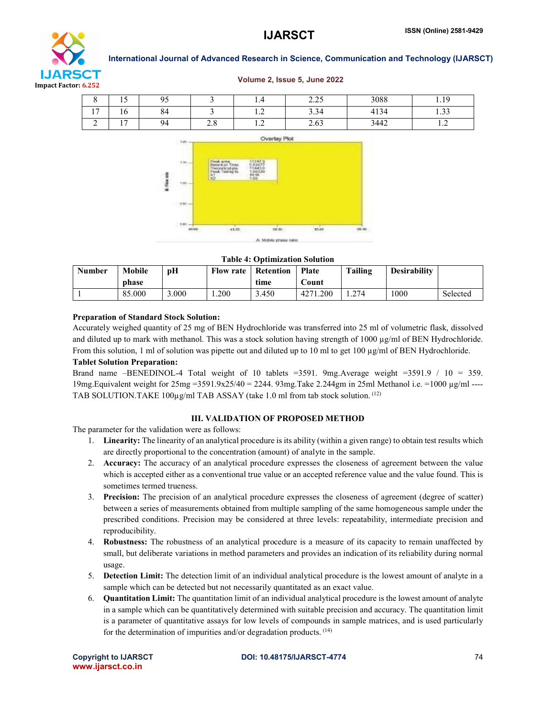

#### Volume 2, Issue 5, June 2022



Table 4: Optimization Solution

| <b>Number</b> | <b>Mobile</b><br>phase | pН    | <b>Flow rate</b> | <b>Retention</b><br>time | <b>Plate</b><br>bount    | Tailing | Desirability |          |
|---------------|------------------------|-------|------------------|--------------------------|--------------------------|---------|--------------|----------|
|               | 85.000                 | 3.000 | 200              | 3.450                    | <sub>1</sub> .200<br>427 | .274    | 1000         | Selected |

#### Preparation of Standard Stock Solution:

Accurately weighed quantity of 25 mg of BEN Hydrochloride was transferred into 25 ml of volumetric flask, dissolved and diluted up to mark with methanol. This was a stock solution having strength of  $1000 \mu\text{g/ml}$  of BEN Hydrochloride. From this solution, 1 ml of solution was pipette out and diluted up to 10 ml to get 100 µg/ml of BEN Hydrochloride.

#### Tablet Solution Preparation:

Brand name –BENEDINOL-4 Total weight of 10 tablets =3591. 9mg.Average weight =3591.9 / 10 = 359. 19mg.Equivalent weight for 25mg =3591.9x25/40 = 2244. 93mg.Take 2.244gm in 25ml Methanol i.e. =1000 µg/ml ---- TAB SOLUTION.TAKE 100µg/ml TAB ASSAY (take 1.0 ml from tab stock solution. <sup>(12)</sup>

#### III. VALIDATION OF PROPOSED METHOD

The parameter for the validation were as follows:

- 1. Linearity: The linearity of an analytical procedure is its ability (within a given range) to obtain test results which are directly proportional to the concentration (amount) of analyte in the sample.
- 2. Accuracy: The accuracy of an analytical procedure expresses the closeness of agreement between the value which is accepted either as a conventional true value or an accepted reference value and the value found. This is sometimes termed trueness.
- 3. Precision: The precision of an analytical procedure expresses the closeness of agreement (degree of scatter) between a series of measurements obtained from multiple sampling of the same homogeneous sample under the prescribed conditions. Precision may be considered at three levels: repeatability, intermediate precision and reproducibility.
- 4. Robustness: The robustness of an analytical procedure is a measure of its capacity to remain unaffected by small, but deliberate variations in method parameters and provides an indication of its reliability during normal usage.
- 5. Detection Limit: The detection limit of an individual analytical procedure is the lowest amount of analyte in a sample which can be detected but not necessarily quantitated as an exact value.
- 6. Quantitation Limit: The quantitation limit of an individual analytical procedure is the lowest amount of analyte in a sample which can be quantitatively determined with suitable precision and accuracy. The quantitation limit is a parameter of quantitative assays for low levels of compounds in sample matrices, and is used particularly for the determination of impurities and/or degradation products.  $(14)$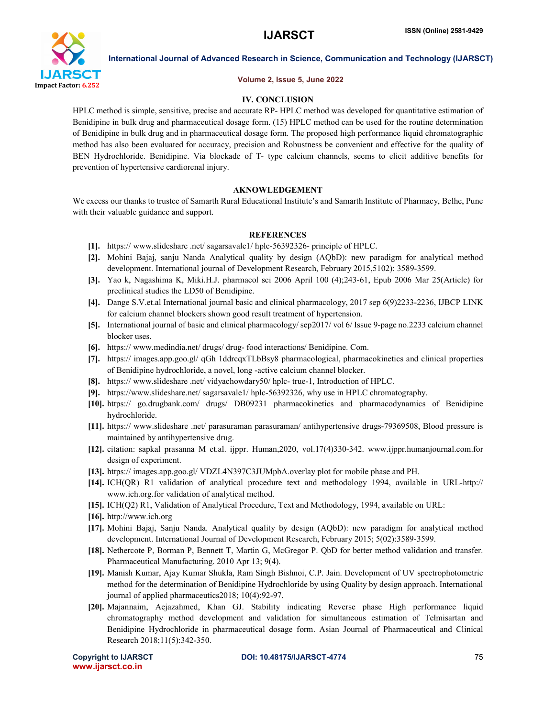

#### Volume 2, Issue 5, June 2022

### IV. CONCLUSION

HPLC method is simple, sensitive, precise and accurate RP- HPLC method was developed for quantitative estimation of Benidipine in bulk drug and pharmaceutical dosage form. (15) HPLC method can be used for the routine determination of Benidipine in bulk drug and in pharmaceutical dosage form. The proposed high performance liquid chromatographic method has also been evaluated for accuracy, precision and Robustness be convenient and effective for the quality of BEN Hydrochloride. Benidipine. Via blockade of T- type calcium channels, seems to elicit additive benefits for prevention of hypertensive cardiorenal injury.

### AKNOWLEDGEMENT

We excess our thanks to trustee of Samarth Rural Educational Institute's and Samarth Institute of Pharmacy, Belhe, Pune with their valuable guidance and support.

### **REFERENCES**

- [1]. https:// www.slideshare .net/ sagarsavale1/ hplc-56392326- principle of HPLC.
- [2]. Mohini Bajaj, sanju Nanda Analytical quality by design (AQbD): new paradigm for analytical method development. International journal of Development Research, February 2015,5102): 3589-3599.
- [3]. Yao k, Nagashima K, Miki.H.J. pharmacol sci 2006 April 100 (4);243-61, Epub 2006 Mar 25(Article) for preclinical studies the LD50 of Benidipine.
- [4]. Dange S.V.et.al International journal basic and clinical pharmacology, 2017 sep 6(9)2233-2236, IJBCP LINK for calcium channel blockers shown good result treatment of hypertension.
- [5]. International journal of basic and clinical pharmacology/ sep2017/ vol 6/ Issue 9-page no.2233 calcium channel blocker uses.
- [6]. https:// www.medindia.net/ drugs/ drug- food interactions/ Benidipine. Com.
- [7]. https:// images.app.goo.gl/ qGh 1ddrcqxTLbBsy8 pharmacological, pharmacokinetics and clinical properties of Benidipine hydrochloride, a novel, long -active calcium channel blocker.
- [8]. https:// www.slideshare .net/ vidyachowdary50/ hplc- true-1, Introduction of HPLC.
- [9]. https://www.slideshare.net/ sagarsavale1/ hplc-56392326, why use in HPLC chromatography.
- [10]. https:// go.drugbank.com/ drugs/ DB09231 pharmacokinetics and pharmacodynamics of Benidipine hydrochloride.
- [11]. https:// www.slideshare .net/ parasuraman parasuraman/ antihypertensive drugs-79369508, Blood pressure is maintained by antihypertensive drug.
- [12]. citation: sapkal prasanna M et.al. ijppr. Human,2020, vol.17(4)330-342. www.ijppr.humanjournal.com.for design of experiment.
- [13]. https:// images.app.goo.gl/ VDZL4N397C3JUMpbA.overlay plot for mobile phase and PH.
- [14]. ICH(QR) R1 validation of analytical procedure text and methodology 1994, available in URL-http:// www.ich.org.for validation of analytical method.
- [15]. ICH(Q2) R1, Validation of Analytical Procedure, Text and Methodology, 1994, available on URL:
- [16]. http://www.ich.org
- [17]. Mohini Bajaj, Sanju Nanda. Analytical quality by design (AQbD): new paradigm for analytical method development. International Journal of Development Research, February 2015; 5(02):3589-3599.
- [18]. Nethercote P, Borman P, Bennett T, Martin G, McGregor P. QbD for better method validation and transfer. Pharmaceutical Manufacturing. 2010 Apr 13; 9(4).
- [19]. Manish Kumar, Ajay Kumar Shukla, Ram Singh Bishnoi, C.P. Jain. Development of UV spectrophotometric method for the determination of Benidipine Hydrochloride by using Quality by design approach. International journal of applied pharmaceutics2018; 10(4):92-97.
- [20]. Majannaim, Aejazahmed, Khan GJ. Stability indicating Reverse phase High performance liquid chromatography method development and validation for simultaneous estimation of Telmisartan and Benidipine Hydrochloride in pharmaceutical dosage form. Asian Journal of Pharmaceutical and Clinical Research 2018;11(5):342-350.